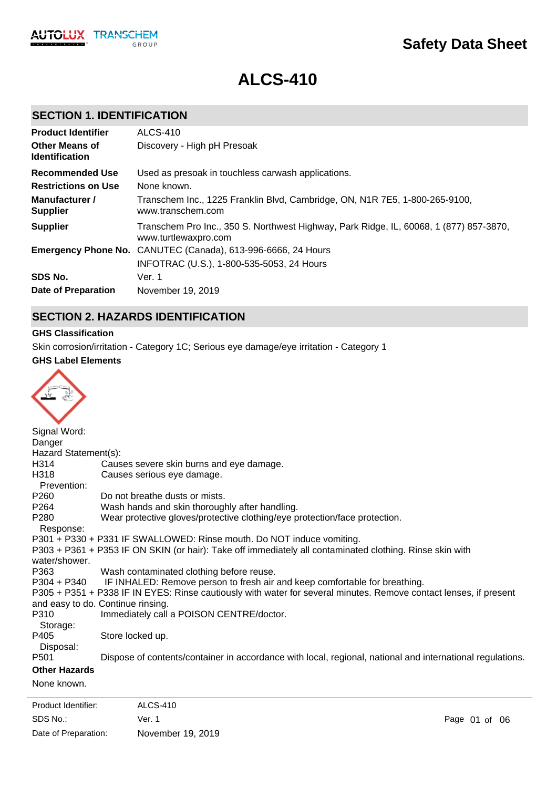

# **ALCS-410**

# **SECTION 1. IDENTIFICATION**

| <b>Product Identifier</b>                      | <b>ALCS-410</b>                                                                                                |
|------------------------------------------------|----------------------------------------------------------------------------------------------------------------|
| <b>Other Means of</b><br><b>Identification</b> | Discovery - High pH Presoak                                                                                    |
| <b>Recommended Use</b>                         | Used as presoak in touchless carwash applications.                                                             |
| <b>Restrictions on Use</b>                     | None known.                                                                                                    |
| Manufacturer /<br><b>Supplier</b>              | Transchem Inc., 1225 Franklin Blvd, Cambridge, ON, N1R 7E5, 1-800-265-9100,<br>www.transchem.com               |
| <b>Supplier</b>                                | Transchem Pro Inc., 350 S. Northwest Highway, Park Ridge, IL, 60068, 1 (877) 857-3870,<br>www.turtlewaxpro.com |
|                                                | <b>Emergency Phone No.</b> CANUTEC (Canada), 613-996-6666, 24 Hours                                            |
|                                                | INFOTRAC (U.S.), 1-800-535-5053, 24 Hours                                                                      |
| SDS No.                                        | Ver. 1                                                                                                         |
| Date of Preparation                            | November 19, 2019                                                                                              |

# **SECTION 2. HAZARDS IDENTIFICATION**

#### **GHS Classification**

Skin corrosion/irritation - Category 1C; Serious eye damage/eye irritation - Category 1

#### **GHS Label Elements**

| Signal Word:                  |                                                                                                                   |
|-------------------------------|-------------------------------------------------------------------------------------------------------------------|
| Danger                        |                                                                                                                   |
| Hazard Statement(s):          |                                                                                                                   |
| H314                          | Causes severe skin burns and eye damage.                                                                          |
| H318                          | Causes serious eye damage.                                                                                        |
| Prevention:                   |                                                                                                                   |
| P <sub>260</sub>              | Do not breathe dusts or mists.                                                                                    |
| P <sub>264</sub>              | Wash hands and skin thoroughly after handling.                                                                    |
| P <sub>280</sub><br>Response: | Wear protective gloves/protective clothing/eye protection/face protection.                                        |
|                               | P301 + P330 + P331 IF SWALLOWED: Rinse mouth. Do NOT induce vomiting.                                             |
| water/shower.                 | P303 + P361 + P353 IF ON SKIN (or hair): Take off immediately all contaminated clothing. Rinse skin with          |
| P363                          | Wash contaminated clothing before reuse.                                                                          |
| $P304 + P340$                 | IF INHALED: Remove person to fresh air and keep comfortable for breathing.                                        |
|                               | P305 + P351 + P338 IF IN EYES: Rinse cautiously with water for several minutes. Remove contact lenses, if present |
|                               | and easy to do. Continue rinsing.                                                                                 |
| P310                          | Immediately call a POISON CENTRE/doctor.                                                                          |
| Storage:                      |                                                                                                                   |
| P405                          | Store locked up.                                                                                                  |
| Disposal:                     |                                                                                                                   |
| P <sub>501</sub>              | Dispose of contents/container in accordance with local, regional, national and international regulations.         |
| <b>Other Hazards</b>          |                                                                                                                   |
| None known.                   |                                                                                                                   |
|                               |                                                                                                                   |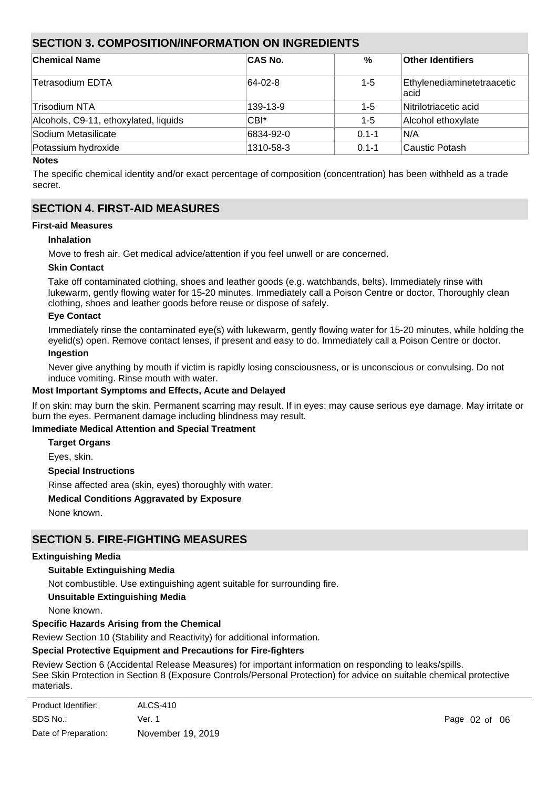# **SECTION 3. COMPOSITION/INFORMATION ON INGREDIENTS**

| <b>Chemical Name</b>                  | <b>CAS No.</b>   | $\%$      | <b>Other Identifiers</b>            |
|---------------------------------------|------------------|-----------|-------------------------------------|
| Tetrasodium EDTA                      | $ 64-02-8 $      | $1 - 5$   | Ethylenediaminetetraacetic<br>lacid |
| Trisodium NTA                         | 139-13-9         | $1 - 5$   | Nitrilotriacetic acid               |
| Alcohols, C9-11, ethoxylated, liquids | CBI <sup>*</sup> | $1-5$     | Alcohol ethoxylate                  |
| Sodium Metasilicate                   | 6834-92-0        | $0.1 - 1$ | IN/A                                |
| Potassium hydroxide                   | 1310-58-3        | $0.1 - 1$ | Caustic Potash                      |

#### **Notes**

The specific chemical identity and/or exact percentage of composition (concentration) has been withheld as a trade secret.

# **SECTION 4. FIRST-AID MEASURES**

#### **First-aid Measures**

#### **Inhalation**

Move to fresh air. Get medical advice/attention if you feel unwell or are concerned.

#### **Skin Contact**

Take off contaminated clothing, shoes and leather goods (e.g. watchbands, belts). Immediately rinse with lukewarm, gently flowing water for 15-20 minutes. Immediately call a Poison Centre or doctor. Thoroughly clean clothing, shoes and leather goods before reuse or dispose of safely.

#### **Eye Contact**

Immediately rinse the contaminated eye(s) with lukewarm, gently flowing water for 15-20 minutes, while holding the eyelid(s) open. Remove contact lenses, if present and easy to do. Immediately call a Poison Centre or doctor. **Ingestion**

Never give anything by mouth if victim is rapidly losing consciousness, or is unconscious or convulsing. Do not induce vomiting. Rinse mouth with water.

## **Most Important Symptoms and Effects, Acute and Delayed**

If on skin: may burn the skin. Permanent scarring may result. If in eyes: may cause serious eye damage. May irritate or burn the eyes. Permanent damage including blindness may result.

#### **Immediate Medical Attention and Special Treatment**

**Target Organs**

Eyes, skin.

## **Special Instructions**

Rinse affected area (skin, eyes) thoroughly with water.

## **Medical Conditions Aggravated by Exposure**

None known.

# **SECTION 5. FIRE-FIGHTING MEASURES**

#### **Extinguishing Media**

## **Suitable Extinguishing Media**

Not combustible. Use extinguishing agent suitable for surrounding fire.

## **Unsuitable Extinguishing Media**

None known.

## **Specific Hazards Arising from the Chemical**

Review Section 10 (Stability and Reactivity) for additional information.

## **Special Protective Equipment and Precautions for Fire-fighters**

Review Section 6 (Accidental Release Measures) for important information on responding to leaks/spills. See Skin Protection in Section 8 (Exposure Controls/Personal Protection) for advice on suitable chemical protective materials.

| Product Identifier:  | ALCS-410          |
|----------------------|-------------------|
| SDS No.:             | Ver. 1            |
| Date of Preparation: | November 19, 2019 |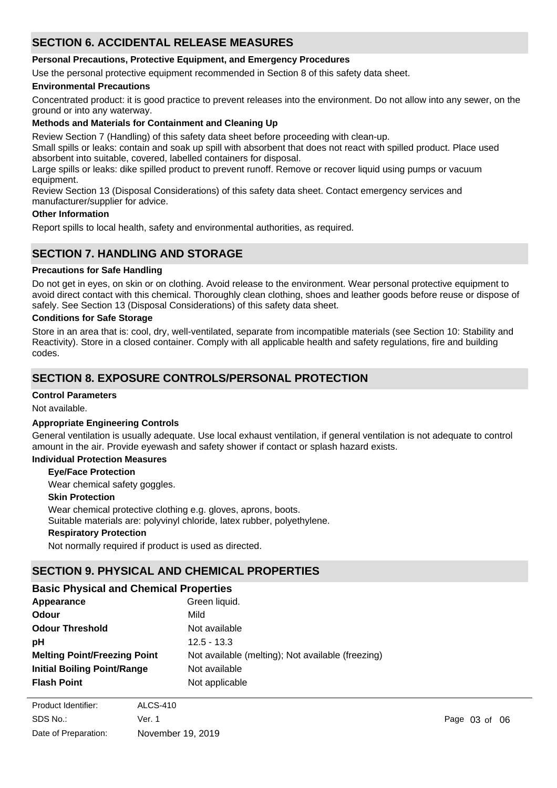# **SECTION 6. ACCIDENTAL RELEASE MEASURES**

## **Personal Precautions, Protective Equipment, and Emergency Procedures**

Use the personal protective equipment recommended in Section 8 of this safety data sheet.

#### **Environmental Precautions**

Concentrated product: it is good practice to prevent releases into the environment. Do not allow into any sewer, on the ground or into any waterway.

#### **Methods and Materials for Containment and Cleaning Up**

Review Section 7 (Handling) of this safety data sheet before proceeding with clean-up.

Small spills or leaks: contain and soak up spill with absorbent that does not react with spilled product. Place used absorbent into suitable, covered, labelled containers for disposal.

Large spills or leaks: dike spilled product to prevent runoff. Remove or recover liquid using pumps or vacuum equipment.

Review Section 13 (Disposal Considerations) of this safety data sheet. Contact emergency services and manufacturer/supplier for advice.

#### **Other Information**

Report spills to local health, safety and environmental authorities, as required.

# **SECTION 7. HANDLING AND STORAGE**

#### **Precautions for Safe Handling**

Do not get in eyes, on skin or on clothing. Avoid release to the environment. Wear personal protective equipment to avoid direct contact with this chemical. Thoroughly clean clothing, shoes and leather goods before reuse or dispose of safely. See Section 13 (Disposal Considerations) of this safety data sheet.

#### **Conditions for Safe Storage**

Store in an area that is: cool, dry, well-ventilated, separate from incompatible materials (see Section 10: Stability and Reactivity). Store in a closed container. Comply with all applicable health and safety regulations, fire and building codes.

# **SECTION 8. EXPOSURE CONTROLS/PERSONAL PROTECTION**

# **Control Parameters**

Not available.

#### **Appropriate Engineering Controls**

General ventilation is usually adequate. Use local exhaust ventilation, if general ventilation is not adequate to control amount in the air. Provide eyewash and safety shower if contact or splash hazard exists.

## **Individual Protection Measures**

#### **Eye/Face Protection**

Wear chemical safety goggles.

#### **Skin Protection**

Wear chemical protective clothing e.g. gloves, aprons, boots.

Suitable materials are: polyvinyl chloride, latex rubber, polyethylene.

#### **Respiratory Protection**

Not normally required if product is used as directed.

# **SECTION 9. PHYSICAL AND CHEMICAL PROPERTIES**

# **Basic Physical and Chemical Properties**

| Appearance                          | Green liquid.                                     |
|-------------------------------------|---------------------------------------------------|
| <b>Odour</b>                        | Mild                                              |
| <b>Odour Threshold</b>              | Not available                                     |
| рH                                  | $12.5 - 13.3$                                     |
| <b>Melting Point/Freezing Point</b> | Not available (melting); Not available (freezing) |
| <b>Initial Boiling Point/Range</b>  | Not available                                     |
| <b>Flash Point</b>                  | Not applicable                                    |

**Evaporation Rate** Not available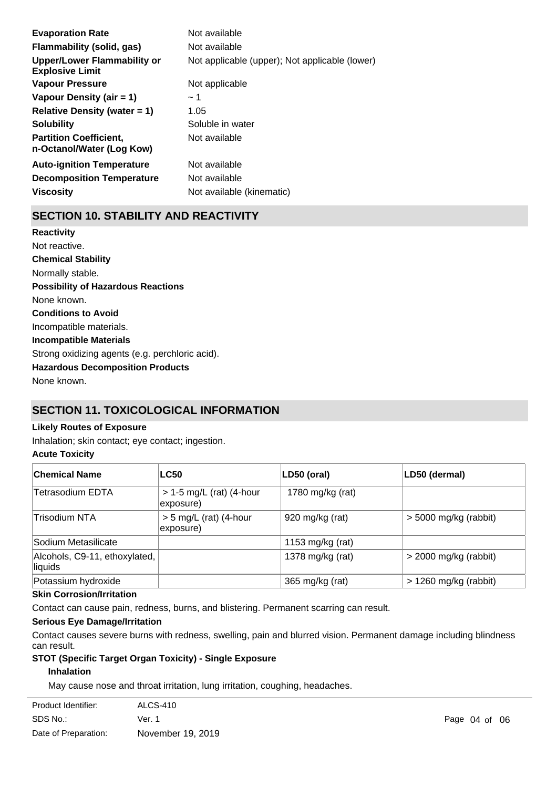| <b>Evaporation Rate</b>                                    | Not available                                  |
|------------------------------------------------------------|------------------------------------------------|
| Flammability (solid, gas)                                  | Not available                                  |
| Upper/Lower Flammability or<br><b>Explosive Limit</b>      | Not applicable (upper); Not applicable (lower) |
| <b>Vapour Pressure</b>                                     | Not applicable                                 |
| Vapour Density (air $= 1$ )                                | ~1~                                            |
| Relative Density (water $= 1$ )                            | 1.05                                           |
| <b>Solubility</b>                                          | Soluble in water                               |
| <b>Partition Coefficient,</b><br>n-Octanol/Water (Log Kow) | Not available                                  |
| <b>Auto-ignition Temperature</b>                           | Not available                                  |
| <b>Decomposition Temperature</b>                           | Not available                                  |
| <b>Viscositv</b>                                           | Not available (kinematic)                      |

# **SECTION 10. STABILITY AND REACTIVITY**

**Chemical Stability** Normally stable. **Conditions to Avoid** Incompatible materials. **Incompatible Materials** Strong oxidizing agents (e.g. perchloric acid). **Hazardous Decomposition Products** None known. **Possibility of Hazardous Reactions** None known. **Reactivity** Not reactive.

# **SECTION 11. TOXICOLOGICAL INFORMATION**

# **Likely Routes of Exposure**

Inhalation; skin contact; eye contact; ingestion.

## **Acute Toxicity**

| ∣Chemical Name                                        | <b>LC50</b>                             | LD50 (oral)      | LD50 (dermal)           |
|-------------------------------------------------------|-----------------------------------------|------------------|-------------------------|
| Tetrasodium EDTA                                      | $> 1-5$ mg/L (rat) (4-hour<br>exposure) | 1780 mg/kg (rat) |                         |
| <b>Trisodium NTA</b>                                  | $> 5$ mg/L (rat) (4-hour<br>exposure)   | 920 mg/kg (rat)  | $>$ 5000 mg/kg (rabbit) |
| Sodium Metasilicate                                   |                                         | 1153 mg/kg (rat) |                         |
| Alcohols, C9-11, ethoxylated,<br>liquids              |                                         | 1378 mg/kg (rat) | $>$ 2000 mg/kg (rabbit) |
| Potassium hydroxide                                   |                                         | 365 mg/kg (rat)  | $> 1260$ mg/kg (rabbit) |
| $\mathbf{a}$ . $\mathbf{a}$ . The set of $\mathbf{a}$ |                                         |                  |                         |

#### **Skin Corrosion/Irritation**

Contact can cause pain, redness, burns, and blistering. Permanent scarring can result.

#### **Serious Eye Damage/Irritation**

Contact causes severe burns with redness, swelling, pain and blurred vision. Permanent damage including blindness can result.

#### **STOT (Specific Target Organ Toxicity) - Single Exposure**

# **Inhalation**

May cause nose and throat irritation, lung irritation, coughing, headaches.

| ALCS-410          |
|-------------------|
| Ver. 1            |
| November 19, 2019 |
|                   |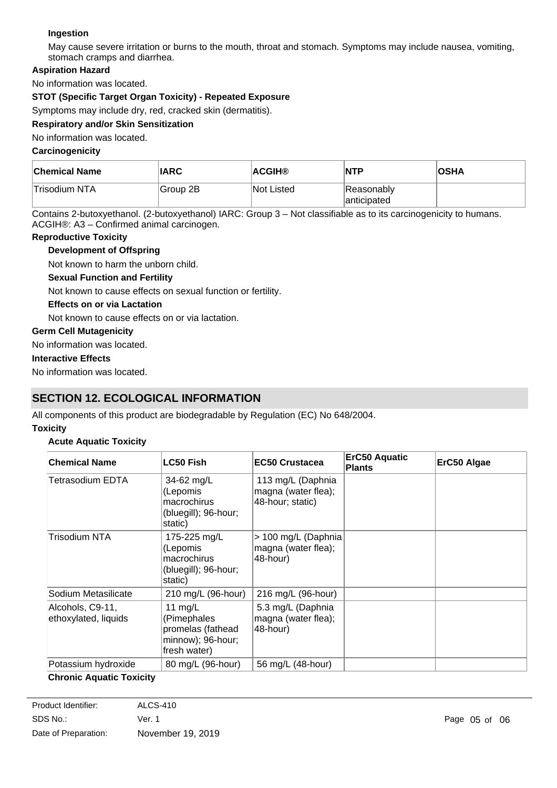# **Ingestion**

May cause severe irritation or burns to the mouth, throat and stomach. Symptoms may include nausea, vomiting, stomach cramps and diarrhea.

# **Aspiration Hazard**

No information was located.

# **STOT (Specific Target Organ Toxicity) - Repeated Exposure**

Symptoms may include dry, red, cracked skin (dermatitis).

#### **Respiratory and/or Skin Sensitization**

No information was located.

#### **Carcinogenicity**

| <b>Chemical Name</b> | <b>IARC</b>           | ∣ACGIH®           | <b>INTP</b>                | <b>OSHA</b> |
|----------------------|-----------------------|-------------------|----------------------------|-------------|
| Trisodium NTA        | <sup>l</sup> Group 2B | <b>Not Listed</b> | Reasonably<br>lanticipated |             |

Contains 2-butoxyethanol. (2-butoxyethanol) IARC: Group 3 – Not classifiable as to its carcinogenicity to humans. ACGIH®: A3 – Confirmed animal carcinogen.

#### **Reproductive Toxicity**

## **Development of Offspring**

Not known to harm the unborn child.

#### **Sexual Function and Fertility**

Not known to cause effects on sexual function or fertility.

#### **Effects on or via Lactation**

Not known to cause effects on or via lactation.

#### **Germ Cell Mutagenicity**

No information was located.

## **Interactive Effects**

No information was located.

# **SECTION 12. ECOLOGICAL INFORMATION**

All components of this product are biodegradable by Regulation (EC) No 648/2004.

#### **Toxicity**

## **Acute Aquatic Toxicity**

| <b>Chemical Name</b>                     | <b>LC50 Fish</b>                                                                   | <b>EC50 Crustacea</b>                                        | ErC50 Aquatic<br><b>Plants</b> | ErC50 Algae |
|------------------------------------------|------------------------------------------------------------------------------------|--------------------------------------------------------------|--------------------------------|-------------|
| Tetrasodium EDTA                         | 34-62 $mg/L$<br>(Lepomis<br>macrochirus<br>(bluegill); 96-hour;<br>static)         | 113 mg/L (Daphnia<br>magna (water flea);<br>48-hour; static) |                                |             |
| Trisodium NTA                            | 175-225 mg/L<br>(Lepomis<br>macrochirus<br>(bluegill); 96-hour;<br>static)         | > 100 mg/L (Daphnia<br>magna (water flea);<br>48-hour)       |                                |             |
| Sodium Metasilicate                      | 210 mg/L (96-hour)                                                                 | 216 mg/L (96-hour)                                           |                                |             |
| Alcohols, C9-11,<br>ethoxylated, liquids | 11 $mg/L$<br>(Pimephales<br>promelas (fathead<br>minnow); 96-hour;<br>fresh water) | 5.3 mg/L (Daphnia<br>magna (water flea);<br>48-hour)         |                                |             |
| Potassium hydroxide                      | 80 mg/L (96-hour)                                                                  | 56 mg/L (48-hour)                                            |                                |             |

## **Chronic Aquatic Toxicity**